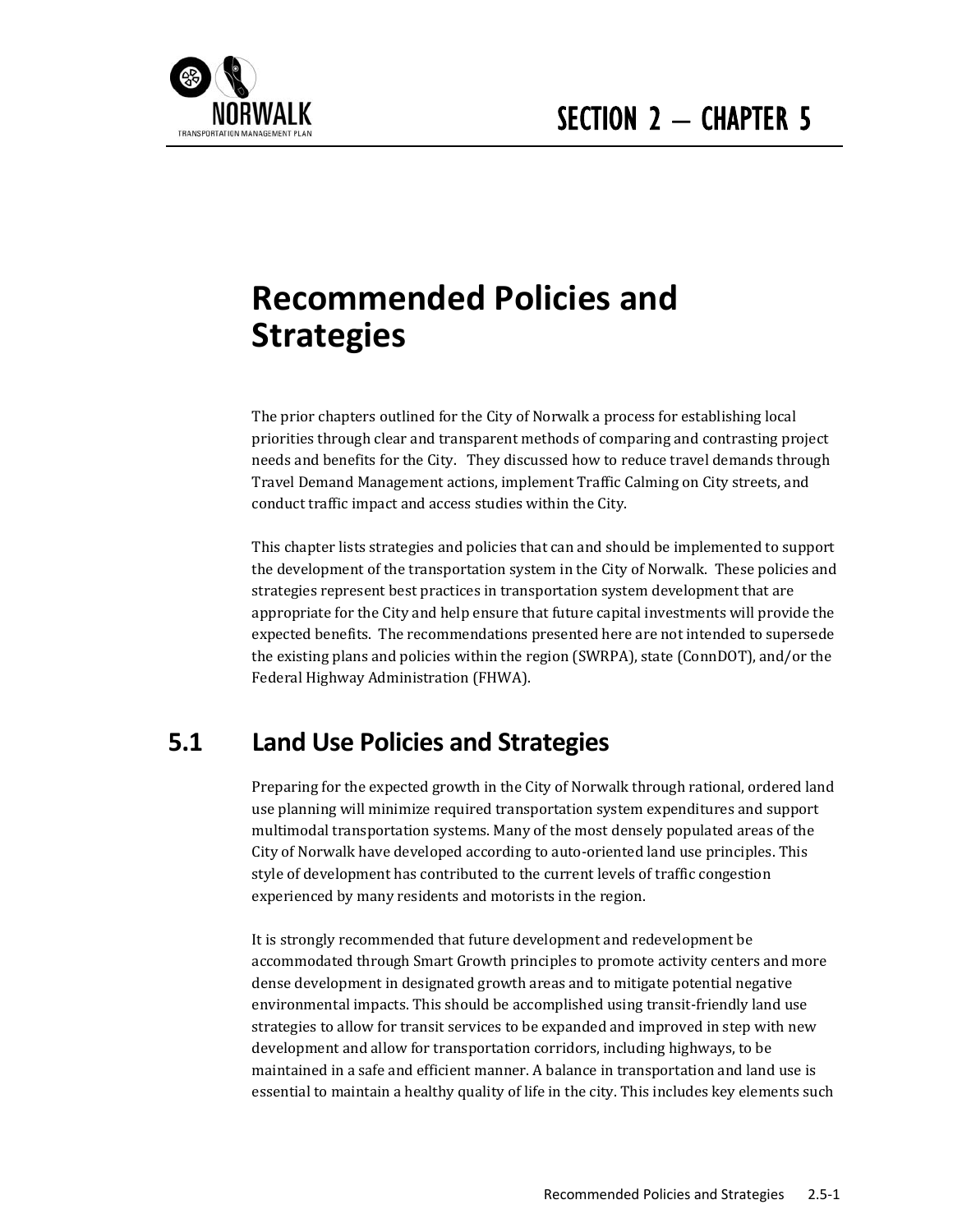

# **Recommended Policies and Strategies**

The prior chapters outlined for the City of Norwalk a process for establishing local priorities through clear and transparent methods of comparing and contrasting project needs and benefits for the City. They discussed how to reduce travel demands through Travel Demand Management actions, implement Traffic Calming on City streets, and conduct traffic impact and access studies within the City.

This chapter lists strategies and policies that can and should be implemented to support the development of the transportation system in the City of Norwalk. These policies and strategies represent best practices in transportation system development that are appropriate for the City and help ensure that future capital investments will provide the expected benefits. The recommendations presented here are not intended to supersede the existing plans and policies within the region (SWRPA), state (ConnDOT), and/or the Federal Highway Administration (FHWA).

# **5.1 Land Use Policies and Strategies**

Preparing for the expected growth in the City of Norwalk through rational, ordered land use planning will minimize required transportation system expenditures and support multimodal transportation systems. Many of the most densely populated areas of the City of Norwalk have developed according to auto-oriented land use principles. This style of development has contributed to the current levels of traffic congestion experienced by many residents and motorists in the region.

It is strongly recommended that future development and redevelopment be accommodated through Smart Growth principles to promote activity centers and more dense development in designated growth areas and to mitigate potential negative environmental impacts. This should be accomplished using transit-friendly land use strategies to allow for transit services to be expanded and improved in step with new development and allow for transportation corridors, including highways, to be maintained in a safe and efficient manner. A balance in transportation and land use is essential to maintain a healthy quality of life in the city. This includes key elements such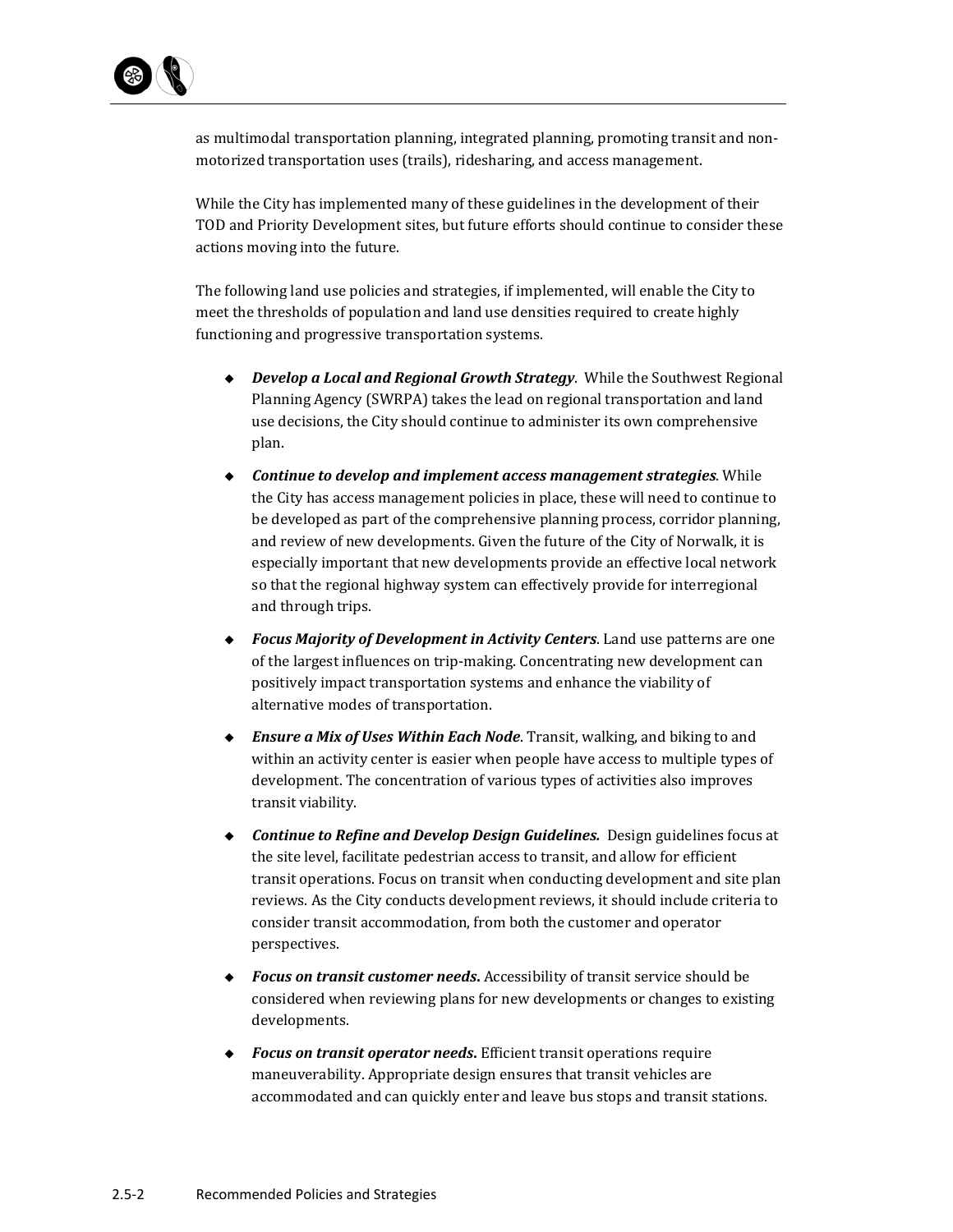

as multimodal transportation planning, integrated planning, promoting transit and nonmotorized transportation uses (trails), ridesharing, and access management.

While the City has implemented many of these guidelines in the development of their TOD and Priority Development sites, but future efforts should continue to consider these actions moving into the future.

The following land use policies and strategies, if implemented, will enable the City to meet the thresholds of population and land use densities required to create highly functioning and progressive transportation systems.

- ◆ *Develop a Local and Regional Growth Strategy*. While the Southwest Regional Planning Agency (SWRPA) takes the lead on regional transportation and land use decisions, the City should continue to administer its own comprehensive plan.
- *Continue to develop and implement access management strategies*. While the City has access management policies in place, these will need to continue to be developed as part of the comprehensive planning process, corridor planning, and review of new developments. Given the future of the City of Norwalk, it is especially important that new developments provide an effective local network so that the regional highway system can effectively provide for interregional and through trips.
- ◆ Focus Majority of Development in Activity Centers. Land use patterns are one of the largest influences on trip-making. Concentrating new development can positively impact transportation systems and enhance the viability of alternative modes of transportation.
- ◆ *Ensure a Mix of Uses Within Each Node*. Transit, walking, and biking to and within an activity center is easier when people have access to multiple types of development. The concentration of various types of activities also improves transit viability.
- ◆ Continue to Refine and Develop Design Guidelines. Design guidelines focus at the site level, facilitate pedestrian access to transit, and allow for efficient transit operations. Focus on transit when conducting development and site plan reviews. As the City conducts development reviews, it should include criteria to consider transit accommodation, from both the customer and operator perspectives.
- ◆ **Focus on transit customer needs.** Accessibility of transit service should be considered when reviewing plans for new developments or changes to existing developments.
- ◆ Focus on *transit* operator *needs*. Efficient transit operations require maneuverability. Appropriate design ensures that transit vehicles are accommodated and can quickly enter and leave bus stops and transit stations.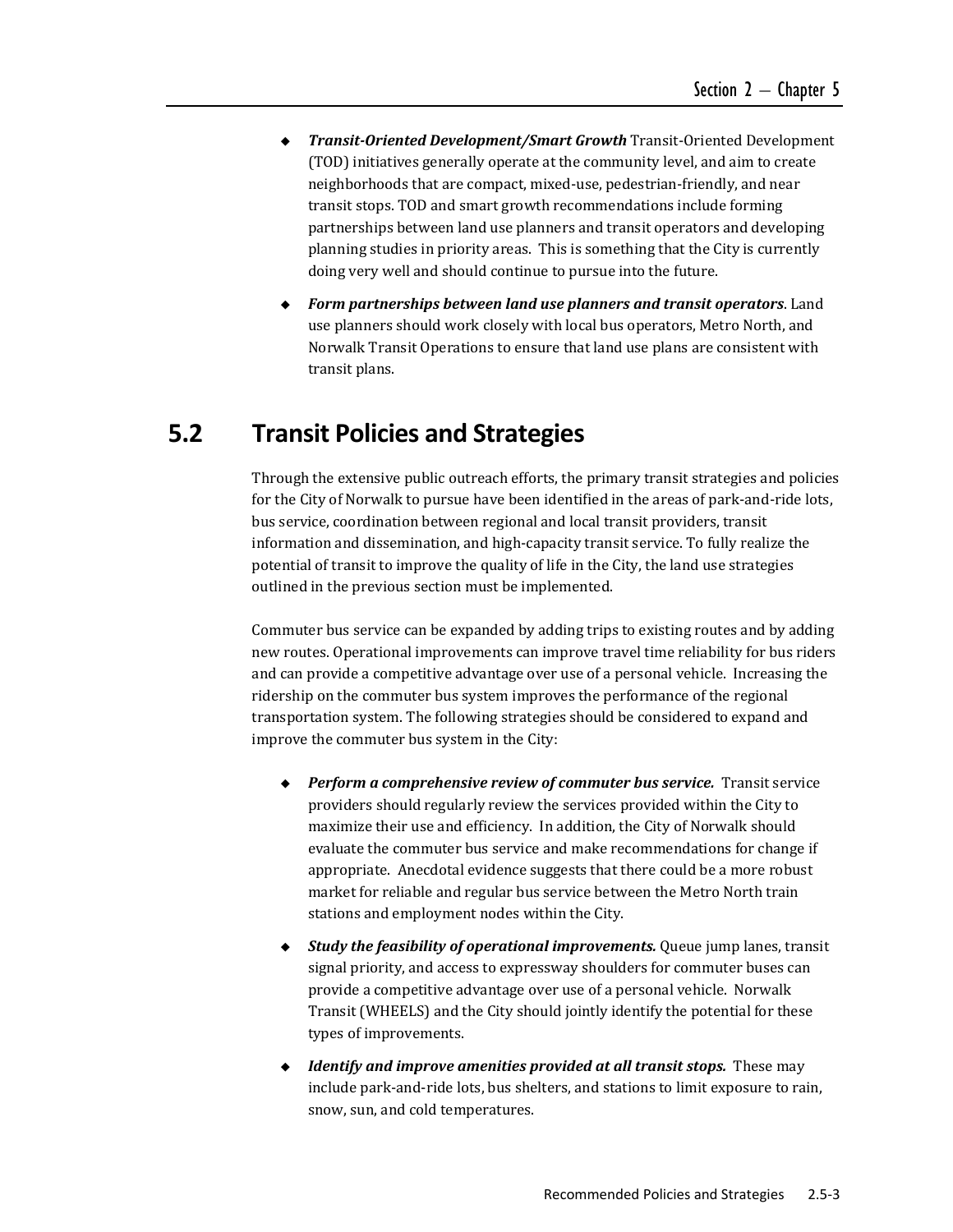- *Transit‐Oriented Development/Smart Growth* Transit‐Oriented Development (TOD) initiatives generally operate at the community level, and aim to create neighborhoods that are compact, mixed-use, pedestrian-friendly, and near transit stops. TOD and smart growth recommendations include forming partnerships between land use planners and transit operators and developing planning studies in priority areas. This is something that the City is currently doing very well and should continue to pursue into the future.
- *Form partnerships between land use planners and transit operators*. Land use planners should work closely with local bus operators, Metro North, and Norwalk Transit Operations to ensure that land use plans are consistent with transit plans.

### **5.2 Transit Policies and Strategies**

Through the extensive public outreach efforts, the primary transit strategies and policies for the City of Norwalk to pursue have been identified in the areas of park-and-ride lots, bus service, coordination between regional and local transit providers, transit information and dissemination, and high-capacity transit service. To fully realize the potential of transit to improve the quality of life in the City, the land use strategies outlined in the previous section must be implemented.

Commuter bus service can be expanded by adding trips to existing routes and by adding new routes. Operational improvements can improve travel time reliability for bus riders and can provide a competitive advantage over use of a personal vehicle. Increasing the ridership on the commuter bus system improves the performance of the regional transportation system. The following strategies should be considered to expand and improve the commuter bus system in the City:

- *Perform a comprehensive review of commuter bus service.* Transit service providers should regularly review the services provided within the City to maximize their use and efficiency. In addition, the City of Norwalk should evaluate the commuter bus service and make recommendations for change if appropriate. Anecdotal evidence suggests that there could be a more robust market for reliable and regular bus service between the Metro North train stations and employment nodes within the City.
- ◆ Study *the feasibility of operational improvements.* Queue jump lanes, transit signal priority, and access to expressway shoulders for commuter buses can provide a competitive advantage over use of a personal vehicle. Norwalk Transit (WHEELS) and the City should jointly identify the potential for these types of improvements.
- *Identify and improve amenities provided at all transit stops.* These may include park-and-ride lots, bus shelters, and stations to limit exposure to rain, snow, sun, and cold temperatures.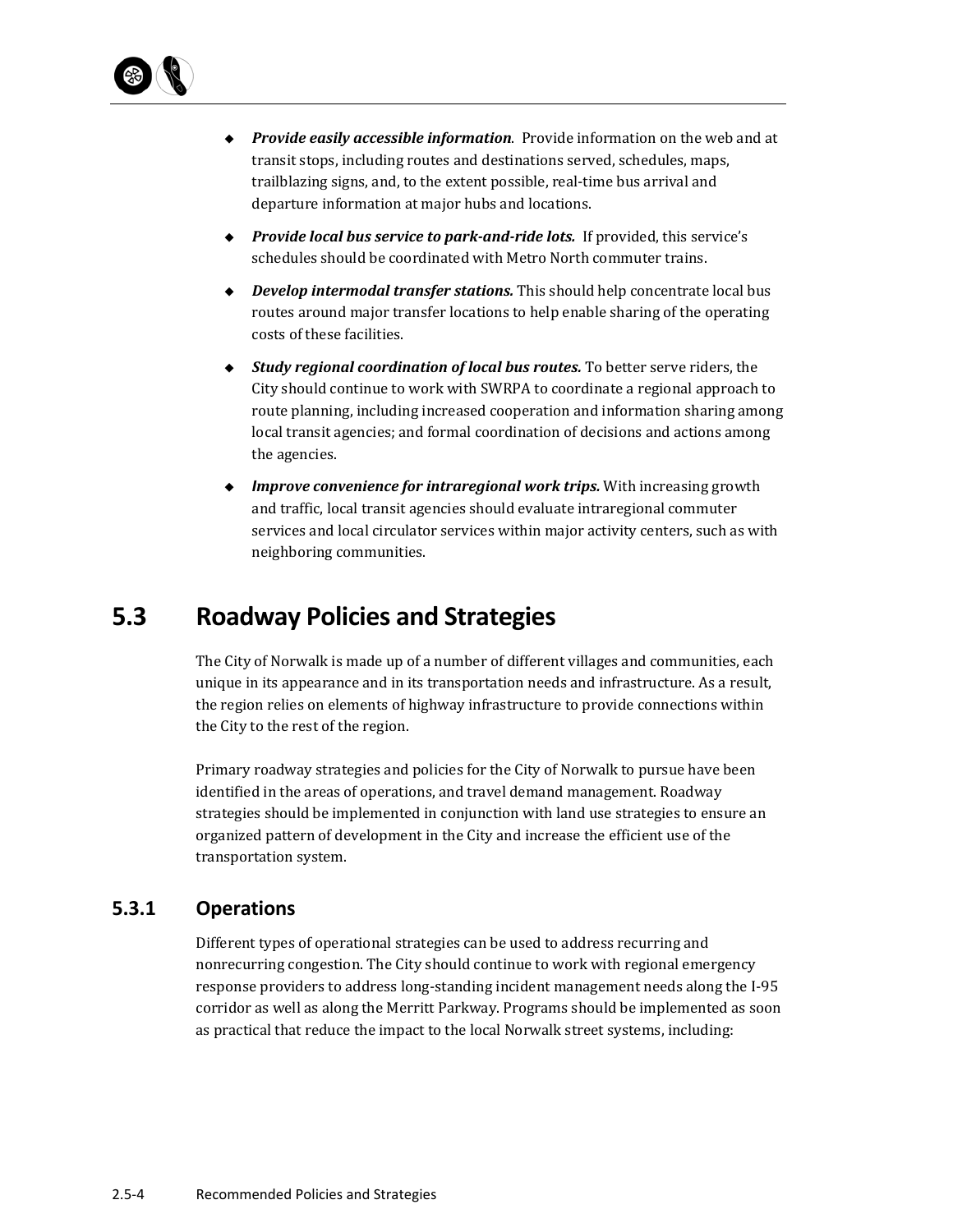

- ◆ *Provide easily accessible information*. Provide information on the web and at transit stops, including routes and destinations served, schedules, maps, trailblazing signs, and, to the extent possible, real-time bus arrival and departure information at major hubs and locations.
- ◆ *Provide local bus service to park-and-ride lots.* If provided, this service's schedules should be coordinated with Metro North commuter trains.
- ◆ *Develop intermodal transfer stations.* This should help concentrate local bus routes around major transfer locations to help enable sharing of the operating costs of these facilities.
- ◆ *Study regional coordination of local bus routes.* To better serve riders, the City should continue to work with SWRPA to coordinate a regional approach to route planning, including increased cooperation and information sharing among local transit agencies; and formal coordination of decisions and actions among the agencies.
- *Improve convenience for intraregional work trips.* With increasing growth and traffic, local transit agencies should evaluate intraregional commuter services and local circulator services within major activity centers, such as with neighboring communities.

### **5.3 Roadway Policies and Strategies**

The City of Norwalk is made up of a number of different villages and communities, each unique in its appearance and in its transportation needs and infrastructure. As a result, the region relies on elements of highway infrastructure to provide connections within the City to the rest of the region.

Primary roadway strategies and policies for the City of Norwalk to pursue have been identified in the areas of operations, and travel demand management. Roadway strategies should be implemented in conjunction with land use strategies to ensure an organized pattern of development in the City and increase the efficient use of the transportation system.

### **5.3.1 Operations**

Different types of operational strategies can be used to address recurring and nonrecurring congestion. The City should continue to work with regional emergency response providers to address long-standing incident management needs along the I-95 corridor as well as along the Merritt Parkway. Programs should be implemented as soon as practical that reduce the impact to the local Norwalk street systems, including: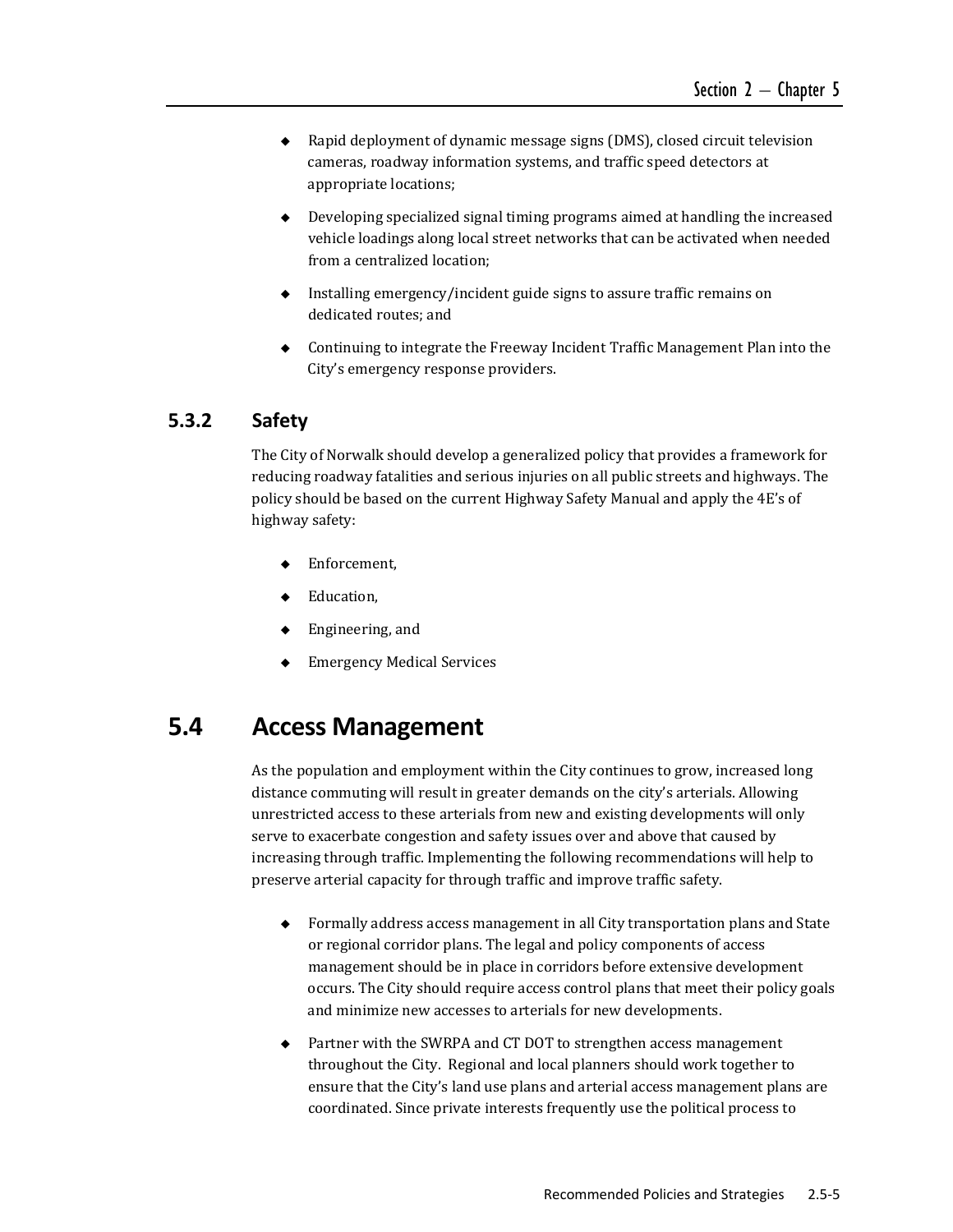- $\bullet$  Rapid deployment of dynamic message signs (DMS), closed circuit television cameras, roadway information systems, and traffic speed detectors at appropriate locations;
- $\bullet$  Developing specialized signal timing programs aimed at handling the increased vehicle loadings along local street networks that can be activated when needed from a centralized location;
- $\bullet$  Installing emergency/incident guide signs to assure traffic remains on dedicated routes; and
- $\bullet$  Continuing to integrate the Freeway Incident Traffic Management Plan into the City's emergency response providers.

### **5.3.2 Safety**

The City of Norwalk should develop a generalized policy that provides a framework for reducing roadway fatalities and serious injuries on all public streets and highways. The policy should be based on the current Highway Safety Manual and apply the 4E's of highway safety:

- Enforcement,
- Education,
- Engineering, and
- Emergency Medical Services

### **5.4 Access Management**

As the population and employment within the City continues to grow, increased long distance commuting will result in greater demands on the city's arterials. Allowing unrestricted access to these arterials from new and existing developments will only serve to exacerbate congestion and safety issues over and above that caused by increasing through traffic. Implementing the following recommendations will help to preserve arterial capacity for through traffic and improve traffic safety.

- $\rightarrow$  Formally address access management in all City transportation plans and State or regional corridor plans. The legal and policy components of access management should be in place in corridors before extensive development occurs. The City should require access control plans that meet their policy goals and minimize new accesses to arterials for new developments.
- $\triangle$  Partner with the SWRPA and CT DOT to strengthen access management throughout the City. Regional and local planners should work together to ensure that the City's land use plans and arterial access management plans are coordinated. Since private interests frequently use the political process to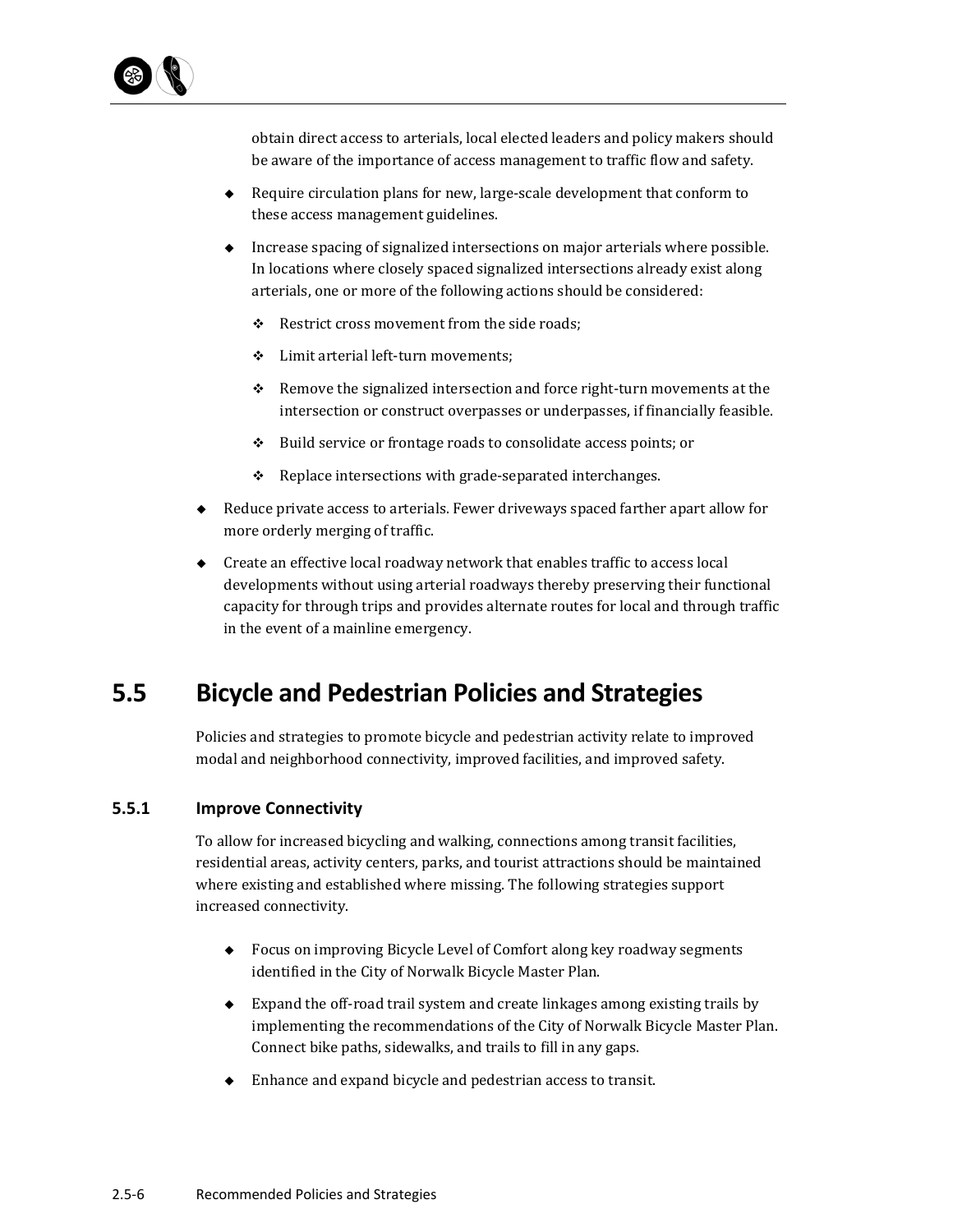

obtain direct access to arterials, local elected leaders and policy makers should be aware of the importance of access management to traffic flow and safety.

- $\blacklozenge$  Require circulation plans for new, large-scale development that conform to these access management guidelines.
- $\bullet$  Increase spacing of signalized intersections on major arterials where possible. In locations where closely spaced signalized intersections already exist along arterials, one or more of the following actions should be considered:
	- $\div$  Restrict cross movement from the side roads;
	- ❖ Limit arterial left-turn movements;
	- $\div$  Remove the signalized intersection and force right-turn movements at the intersection or construct overpasses or underpasses, if financially feasible.
	- $\div$  Build service or frontage roads to consolidate access points; or
	- $\div$  Replace intersections with grade-separated interchanges.
- $\bullet$  Reduce private access to arterials. Fewer driveways spaced farther apart allow for more orderly merging of traffic.
- $\bullet$  Create an effective local roadway network that enables traffic to access local developments without using arterial roadways thereby preserving their functional capacity for through trips and provides alternate routes for local and through traffic in the event of a mainline emergency.

# **5.5 Bicycle and Pedestrian Policies and Strategies**

Policies and strategies to promote bicycle and pedestrian activity relate to improved modal and neighborhood connectivity, improved facilities, and improved safety.

#### **5.5.1 Improve Connectivity**

To allow for increased bicycling and walking, connections among transit facilities, residential areas, activity centers, parks, and tourist attractions should be maintained where existing and established where missing. The following strategies support increased connectivity.

- $\blacklozenge$  Focus on improving Bicycle Level of Comfort along key roadway segments identified in the City of Norwalk Bicycle Master Plan.
- $\bullet$  Expand the off-road trail system and create linkages among existing trails by implementing the recommendations of the City of Norwalk Bicycle Master Plan. Connect bike paths, sidewalks, and trails to fill in any gaps.
- Enhance and expand bicycle and pedestrian access to transit.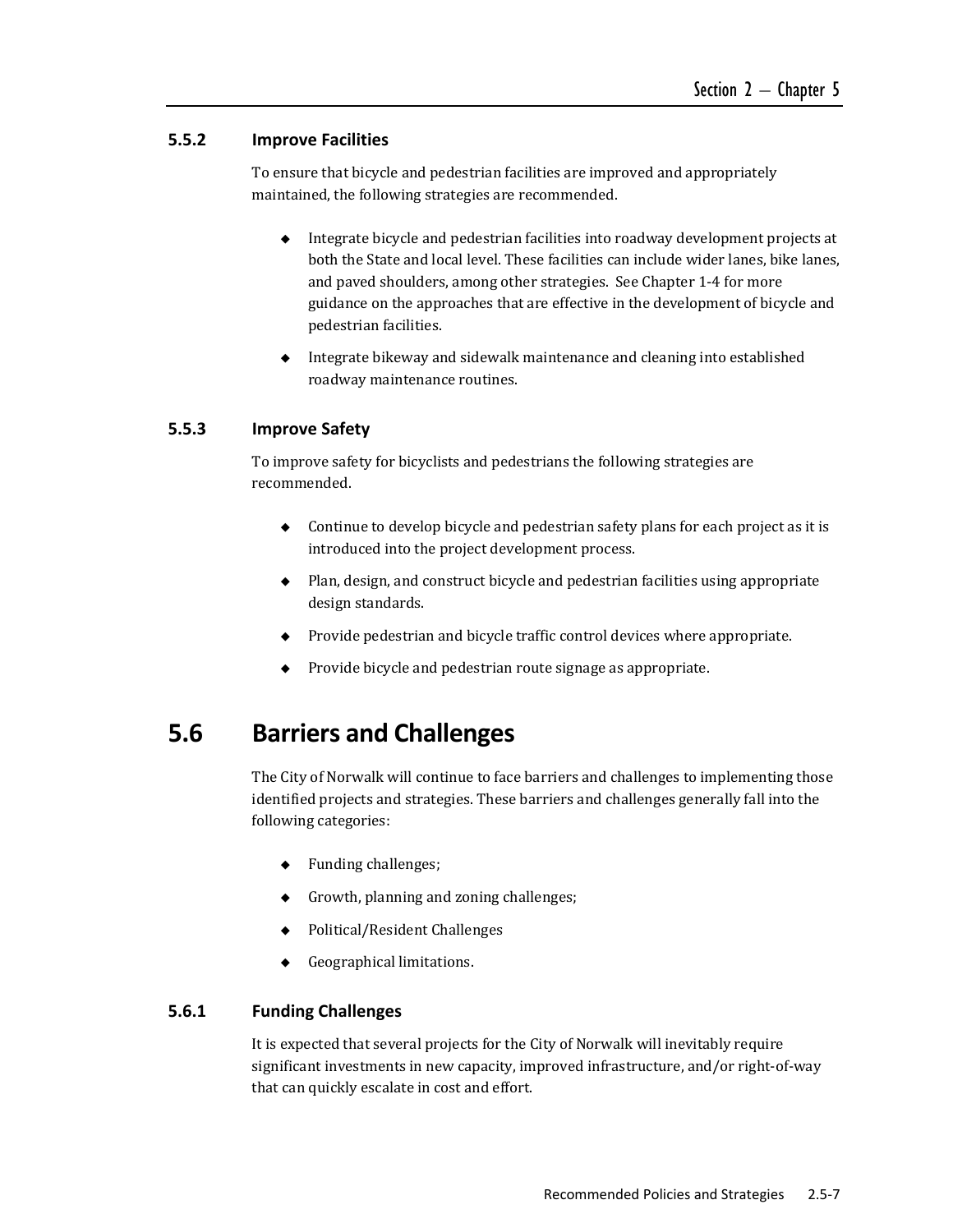#### **5.5.2 Improve Facilities**

To ensure that bicycle and pedestrian facilities are improved and appropriately maintained, the following strategies are recommended.

- $\bullet$  Integrate bicycle and pedestrian facilities into roadway development projects at both the State and local level. These facilities can include wider lanes, bike lanes, and paved shoulders, among other strategies. See Chapter 1-4 for more guidance on the approaches that are effective in the development of bicycle and pedestrian facilities.
- $\blacklozenge$  Integrate bikeway and sidewalk maintenance and cleaning into established roadway maintenance routines.

#### **5.5.3 Improve Safety**

To improve safety for bicyclists and pedestrians the following strategies are recommended. 

- $\bullet$  Continue to develop bicycle and pedestrian safety plans for each project as it is introduced into the project development process.
- Plan, design, and construct bicycle and pedestrian facilities using appropriate design standards.
- $\bullet$  Provide pedestrian and bicycle traffic control devices where appropriate.
- $\blacklozenge$  Provide bicycle and pedestrian route signage as appropriate.

### **5.6 Barriers and Challenges**

The City of Norwalk will continue to face barriers and challenges to implementing those identified projects and strategies. These barriers and challenges generally fall into the following categories:

- $\leftarrow$  Funding challenges;
- Growth, planning and zoning challenges;
- $\rightarrow$  Political/Resident Challenges
- $\leftarrow$  Geographical limitations.

#### **5.6.1 Funding Challenges**

It is expected that several projects for the City of Norwalk will inevitably require significant investments in new capacity, improved infrastructure, and/or right-of-way that can quickly escalate in cost and effort.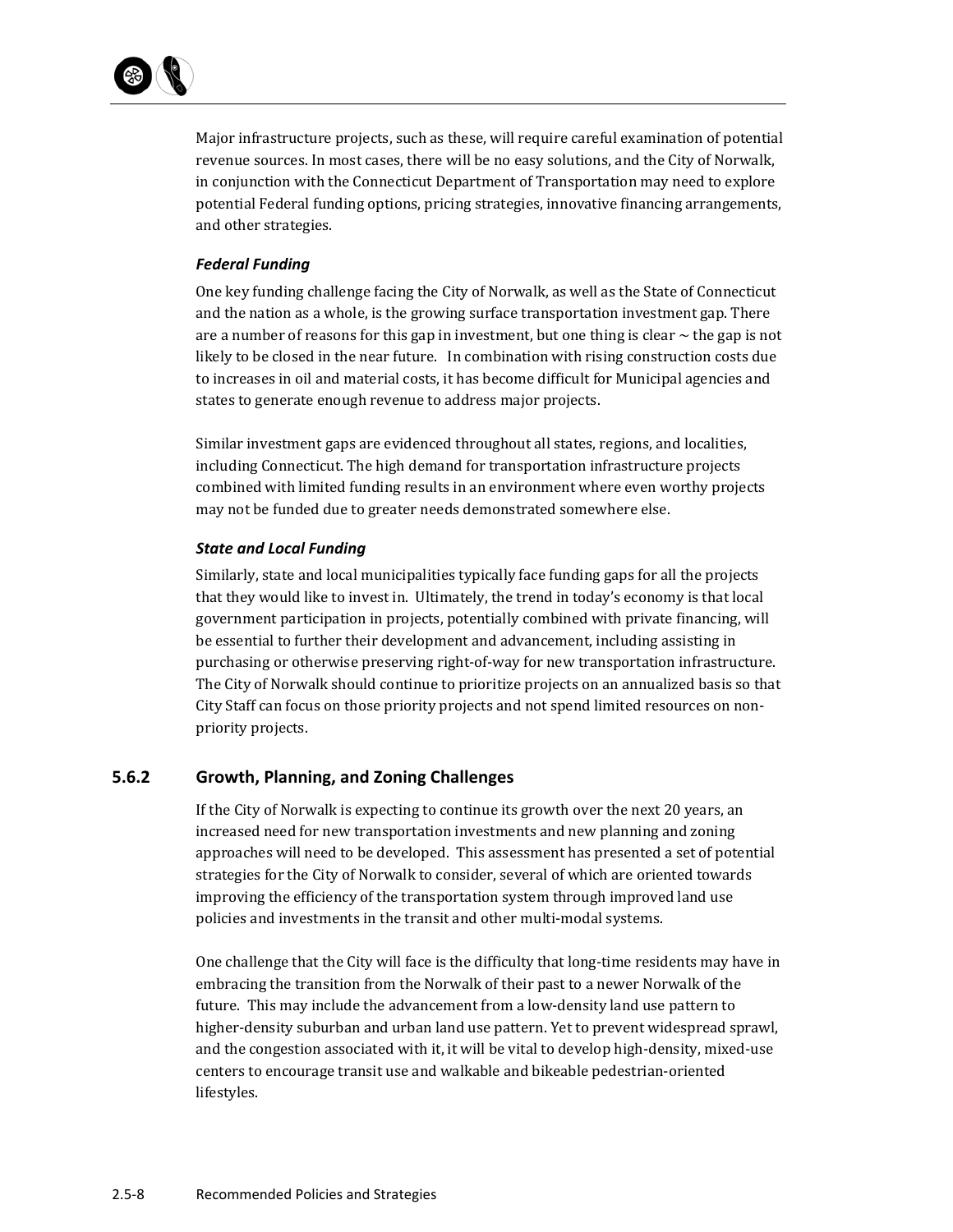

Major infrastructure projects, such as these, will require careful examination of potential revenue sources. In most cases, there will be no easy solutions, and the City of Norwalk, in conjunction with the Connecticut Department of Transportation may need to explore potential Federal funding options, pricing strategies, innovative financing arrangements, and other strategies.

#### *Federal Funding*

One key funding challenge facing the City of Norwalk, as well as the State of Connecticut and the nation as a whole, is the growing surface transportation investment gap. There are a number of reasons for this gap in investment, but one thing is clear  $\sim$  the gap is not likely to be closed in the near future. In combination with rising construction costs due to increases in oil and material costs, it has become difficult for Municipal agencies and states to generate enough revenue to address major projects.

Similar investment gaps are evidenced throughout all states, regions, and localities, including Connecticut. The high demand for transportation infrastructure projects combined with limited funding results in an environment where even worthy projects may not be funded due to greater needs demonstrated somewhere else.

#### *State and Local Funding*

Similarly, state and local municipalities typically face funding gaps for all the projects that they would like to invest in. Ultimately, the trend in today's economy is that local government participation in projects, potentially combined with private financing, will be essential to further their development and advancement, including assisting in purchasing or otherwise preserving right-of-way for new transportation infrastructure. The City of Norwalk should continue to prioritize projects on an annualized basis so that City Staff can focus on those priority projects and not spend limited resources on nonpriority projects.

#### **5.6.2 Growth, Planning, and Zoning Challenges**

If the City of Norwalk is expecting to continue its growth over the next  $20$  years, an increased need for new transportation investments and new planning and zoning approaches will need to be developed. This assessment has presented a set of potential strategies for the City of Norwalk to consider, several of which are oriented towards improving the efficiency of the transportation system through improved land use policies and investments in the transit and other multi-modal systems.

One challenge that the City will face is the difficulty that long-time residents may have in embracing the transition from the Norwalk of their past to a newer Norwalk of the future. This may include the advancement from a low-density land use pattern to higher-density suburban and urban land use pattern. Yet to prevent widespread sprawl, and the congestion associated with it, it will be vital to develop high-density, mixed-use centers to encourage transit use and walkable and bikeable pedestrian-oriented lifestyles.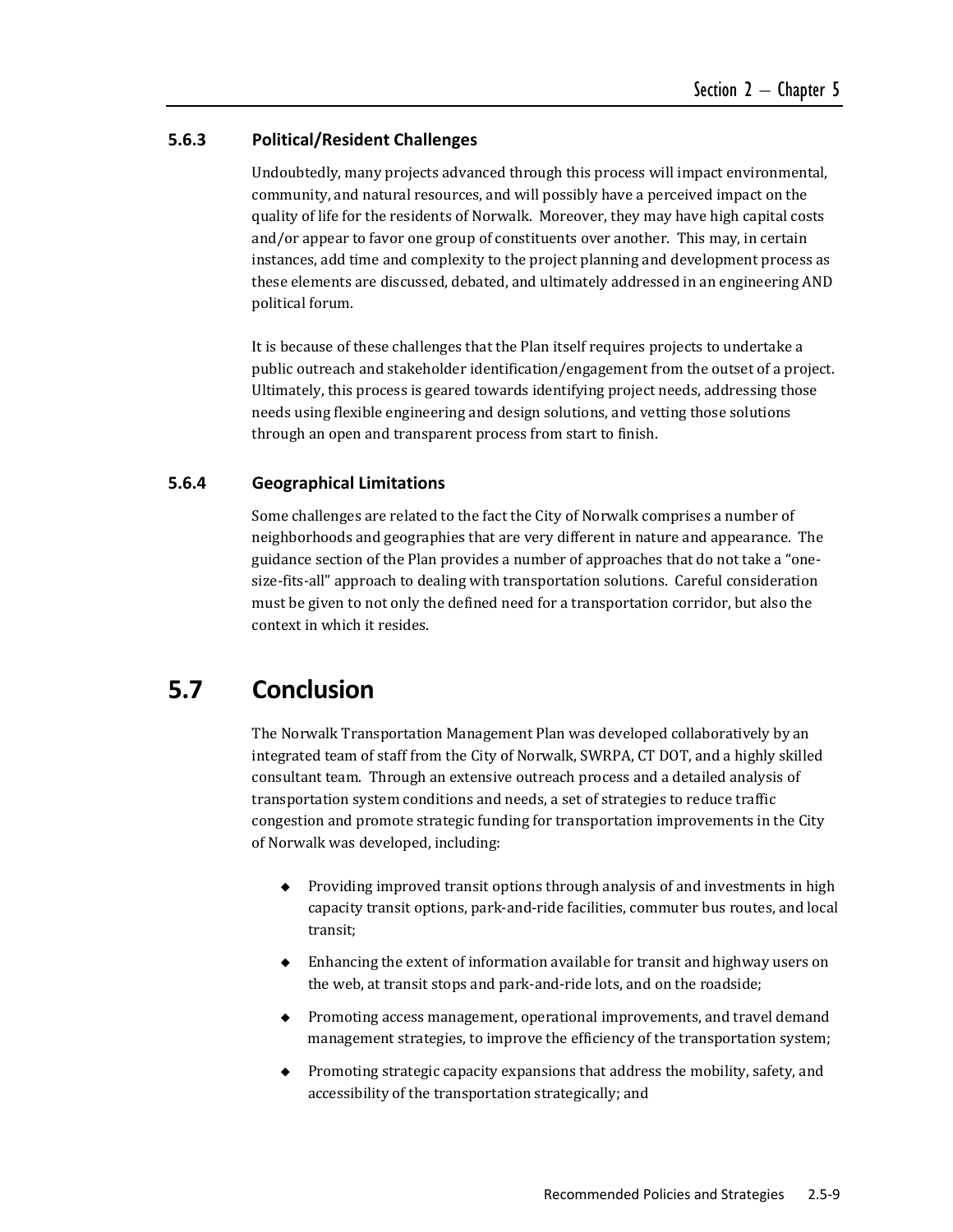#### **5.6.3 Political/Resident Challenges**

Undoubtedly, many projects advanced through this process will impact environmental, community, and natural resources, and will possibly have a perceived impact on the quality of life for the residents of Norwalk. Moreover, they may have high capital costs and/or appear to favor one group of constituents over another. This may, in certain instances, add time and complexity to the project planning and development process as these elements are discussed, debated, and ultimately addressed in an engineering AND political forum.

It is because of these challenges that the Plan itself requires projects to undertake a public outreach and stakeholder identification/engagement from the outset of a project. Ultimately, this process is geared towards identifying project needs, addressing those needs using flexible engineering and design solutions, and vetting those solutions through an open and transparent process from start to finish.

#### **5.6.4 Geographical Limitations**

Some challenges are related to the fact the City of Norwalk comprises a number of neighborhoods and geographies that are very different in nature and appearance. The guidance section of the Plan provides a number of approaches that do not take a "onesize-fits-all" approach to dealing with transportation solutions. Careful consideration must be given to not only the defined need for a transportation corridor, but also the context in which it resides.

### **5.7 Conclusion**

The Norwalk Transportation Management Plan was developed collaboratively by an integrated team of staff from the City of Norwalk, SWRPA, CT DOT, and a highly skilled consultant team. Through an extensive outreach process and a detailed analysis of transportation system conditions and needs, a set of strategies to reduce traffic congestion and promote strategic funding for transportation improvements in the City of Norwalk was developed, including:

- $\rightarrow$  Providing improved transit options through analysis of and investments in high capacity transit options, park-and-ride facilities, commuter bus routes, and local transit;
- $\bullet$  Enhancing the extent of information available for transit and highway users on the web, at transit stops and park-and-ride lots, and on the roadside;
- $\blacklozenge$  Promoting access management, operational improvements, and travel demand management strategies, to improve the efficiency of the transportation system;
- $\bullet$  Promoting strategic capacity expansions that address the mobility, safety, and accessibility of the transportation strategically; and